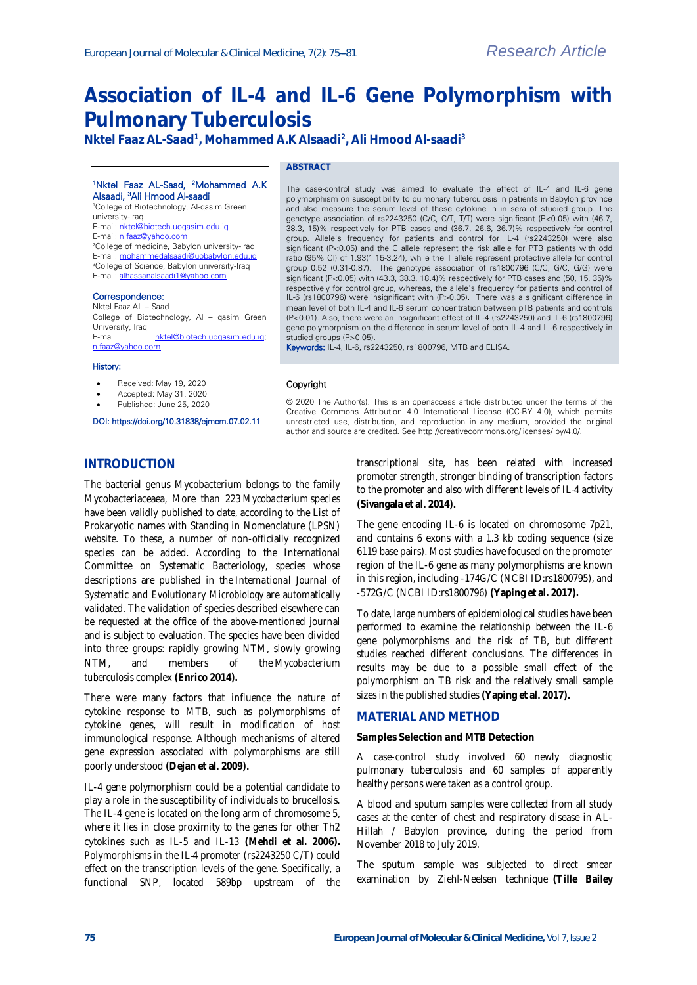# **Association of IL-4 and IL-6 Gene Polymorphism with Pulmonary Tuberculosis**

**Nktel Faaz AL-Saad<sup>1</sup> , Mohammed A.K Alsaadi<sup>2</sup> , Ali Hmood Al-saadi<sup>3</sup>**

### <sup>1</sup>Nktel Faaz AL-Saad, <sup>2</sup>Mohammed A.K Alsaadi, <sup>3</sup>Ali Hmood Al-saadi

<sup>1</sup>College of Biotechnology, Al-qasim Green university-Iraq E-mail[: nktel@biotech.uoqasim.edu.iq](mailto:nktel@biotech.uoqasim.edu.iq) E-mail[: n.faaz@yahoo.com](mailto:n.faaz@yahoo.com) <sup>2</sup>College of medicine, Babylon university-Iraq E-mail[: mohammedalsaadi@uobabylon.edu.iq](mailto:mohammedalsaadi@uobabylon.edu.iq) <sup>3</sup>College of Science, Babylon university-Iraq E-mail[: alhassanalsaadi1@yahoo.com](mailto:alhassanalsaadi1@yahoo.com)

#### Correspondence:

Nktel Faaz AL – Saad College of Biotechnology, Al – qasim Green University, Iraq<br>E-mail: nktel@biotech.uogasim.edu.ig; [n.faaz@yahoo.com](mailto:n.faaz@yahoo.com)

#### History:

- Received: May 19, 2020
- Accepted: May 31, 2020
- Published: June 25, 2020

## DOI: https://doi.org/10.31838/ejmcm.07.02.11

**ABSTRACT**

The case-control study was aimed to evaluate the effect of IL-4 and IL-6 gene polymorphism on susceptibility to pulmonary tuberculosis in patients in Babylon province and also measure the serum level of these cytokine in in sera of studied group. The genotype association of rs2243250 (C/C, C/T, T/T) were significant (P<0.05) with (46.7, 38.3, 15)% respectively for PTB cases and (36.7, 26.6, 36.7)% respectively for control group. Allele's frequency for patients and control for IL-4 (rs2243250) were also significant (P<0.05) and the C allele represent the risk allele for PTB patients with odd ratio (95% CI) of 1.93(1.15-3.24), while the T allele represent protective allele for control group 0.52 (0.31-0.87). The genotype association of rs1800796 (C/C, G/C, G/G) were significant (P<0.05) with (43.3, 38.3, 18.4)% respectively for PTB cases and (50, 15, 35)% respectively for control group, whereas, the allele's frequency for patients and control of IL-6 (rs1800796) were insignificant with (P>0.05). There was a significant difference in mean level of both IL-4 and IL-6 serum concentration between pTB patients and controls (P<0.01). Also, there were an insignificant effect of IL-4 (rs2243250) and IL-6 (rs1800796) gene polymorphism on the difference in serum level of both IL-4 and IL-6 respectively in studied groups (P>0.05).

Keywords: IL-4, IL-6, rs2243250, rs1800796, MTB and ELISA.

#### Copyright

© 2020 The Author(s). This is an openaccess article distributed under the terms of the Creative Commons Attribution 4.0 International License (CC-BY 4.0), which permits unrestricted use, distribution, and reproduction in any medium, provided the original author and source are credited. See http://creativecommons.org/licenses/ by/4.0/.

## **INTRODUCTION**

The bacterial genus Mycobacterium belongs to the family Mycobacteriaceaea, More than 223 *Mycobacterium* species have been validly published to date, according to the List of Prokaryotic names with Standing in Nomenclature (LPSN) website. To these, a number of non-officially recognized species can be added. According to the International Committee on Systematic Bacteriology, species whose descriptions are published in the *International Journal of Systematic and Evolutionary Microbiology* are automatically validated. The validation of species described elsewhere can be requested at the office of the above-mentioned journal and is subject to evaluation. The species have been divided into three groups: rapidly growing NTM, slowly growing NTM, and members of the *Mycobacterium tuberculosis* complex **(Enrico 2014).**

There were many factors that influence the nature of cytokine response to MTB, such as polymorphisms of cytokine genes, will result in modification of host immunological response. Although mechanisms of altered gene expression associated with polymorphisms are still poorly understood **(Dejan et al. 2009).**

IL-4 gene polymorphism could be a potential candidate to play a role in the susceptibility of individuals to brucellosis. The IL-4 gene is located on the long arm of chromosome 5, where it lies in close proximity to the genes for other Th2 cytokines such as IL-5 and IL-13 **(Mehdi et al. 2006).** Polymorphisms in the IL-4 promoter (rs2243250 C/T) could effect on the transcription levels of the gene. Specifically, a functional SNP, located 589bp upstream of the

transcriptional site, has been related with increased promoter strength, stronger binding of transcription factors to the promoter and also with different levels of IL-4 activity **(Sivangala et al. 2014).**

The gene encoding IL-6 is located on chromosome 7p21, and contains 6 exons with a 1.3 kb coding sequence (size 6119 base pairs). Most studies have focused on the promoter region of the IL-6 gene as many polymorphisms are known in this region, including -174G/C (NCBI ID:rs1800795), and -572G/C (NCBI ID:rs1800796) **(Yaping et al. 2017).**

To date, large numbers of epidemiological studies have been performed to examine the relationship between the IL-6 gene polymorphisms and the risk of TB, but different studies reached different conclusions. The differences in results may be due to a possible small effect of the polymorphism on TB risk and the relatively small sample sizes in the published studies **(Yaping et al. 2017).**

## **MATERIAL AND METHOD**

**Samples Selection and MTB Detection**

A case-control study involved 60 newly diagnostic pulmonary tuberculosis and 60 samples of apparently healthy persons were taken as a control group.

A blood and sputum samples were collected from all study cases at the center of chest and respiratory disease in AL-Hillah / Babylon province, during the period from November 2018 to July 2019.

The sputum sample was subjected to direct smear examination by Ziehl-Neelsen technique **(Tille Bailey**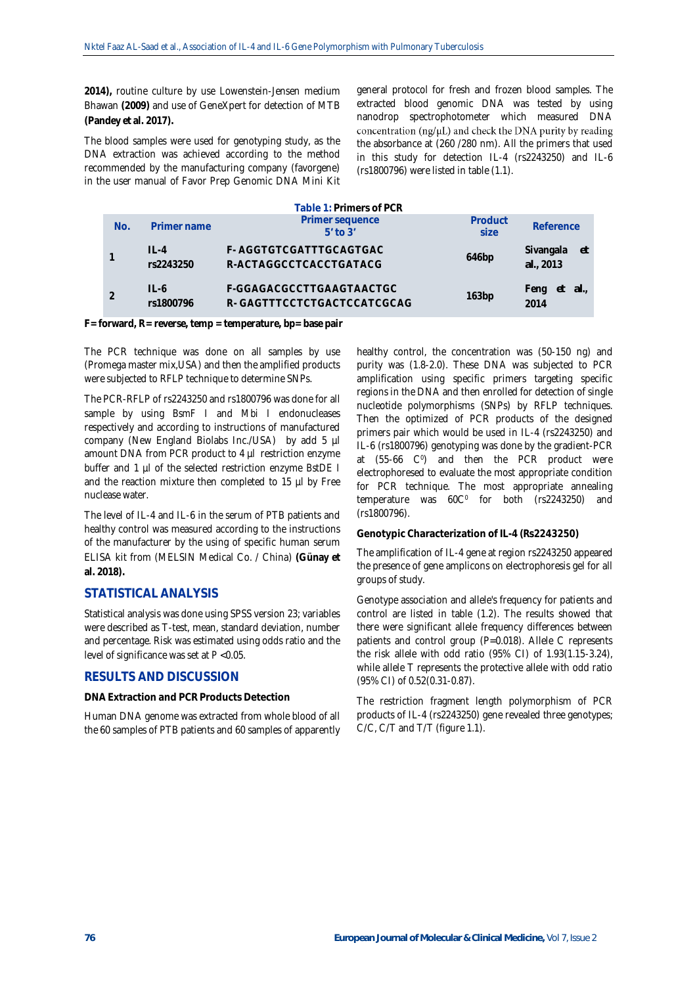**2014),** routine culture by use Lowenstein-Jensen medium Bhawan **(2009)** and use of GeneXpert for detection of MTB **(Pandey et al. 2017).**

The blood samples were used for genotyping study, as the DNA extraction was achieved according to the method recommended by the manufacturing company (favorgene) in the user manual of Favor Prep Genomic DNA Mini Kit general protocol for fresh and frozen blood samples. The extracted blood genomic DNA was tested by using nanodrop spectrophotometer which measured DNA concentration  $(ng/\mu L)$  and check the DNA purity by reading the absorbance at (260 /280 nm). All the primers that used in this study for detection IL-4 (rs2243250) and IL-6 (rs1800796) were listed in table (1.1).

|     |                       | Table 1: Primers of PCR                                |                  |                               |
|-----|-----------------------|--------------------------------------------------------|------------------|-------------------------------|
| No. | Primer name           | Primer sequence<br>$5'$ to $3'$                        | Product<br>size. | Reference                     |
|     | $II -4$<br>rs2243250  | F-AGGTGTCGATTTGCAGTGAC<br>R-ACTAGGCCTCACCTGATACG       | 646bp            | Sivangala<br>-et<br>al., 2013 |
|     | $II - 6$<br>rs1800796 | F-GGAGACGCCTTGAAGTAACTGC<br>R-GAGTTTCCTCTGACTCCATCGCAG | 163bp            | - al.,<br>Feng<br>et<br>2014  |

**F= forward, R= reverse, temp = temperature, bp= base pair**

The PCR technique was done on all samples by use (Promega master mix,USA) and then the amplified products were subjected to RFLP technique to determine SNPs.

The PCR-RFLP of rs2243250 and rs1800796 was done for all sample by using *BsmF I* and *Mbi I* endonucleases respectively and according to instructions of manufactured company (New England Biolabs Inc./USA) by add 5 µl amount DNA from PCR product to 4 µl restriction enzyme buffer and 1 µl of the selected restriction enzyme *[BstDE I](http://sibenzyme.com/info55.php#_blank)* and the reaction mixture then completed to 15 µl by Free nuclease water.

The level of IL-4 and IL-6 in the serum of PTB patients and healthy control was measured according to the instructions of the manufacturer by the using of specific human serum ELISA kit from (MELSIN Medical Co. / China) **(Günay et al. 2018).**

# **STATISTICAL ANALYSIS**

Statistical analysis was done using SPSS version 23; variables were described as T-test, mean, standard deviation, number and percentage. Risk was estimated using odds ratio and the level of significance was set at *P* <0.05.

# **RESULTS AND DISCUSSION**

**DNA Extraction and PCR Products Detection**

Human DNA genome was extracted from whole blood of all the 60 samples of PTB patients and 60 samples of apparently healthy control, the concentration was (50-150 ng) and purity was (1.8-2.0). These DNA was subjected to PCR amplification using specific primers targeting specific regions in the DNA and then enrolled for detection of single nucleotide polymorphisms (SNPs) by RFLP techniques. Then the optimized of PCR products of the designed primers pair which would be used in IL-4 (rs2243250) and IL-6 (rs1800796) genotyping was done by the gradient-PCR at  $(55-66 \, \text{C}^{\degree})$  and then the PCR product were electrophoresed to evaluate the most appropriate condition for PCR technique. The most appropriate annealing  $temperature$  was  $60C<sup>0</sup>$  for both (rs2243250) and (rs1800796).

### **Genotypic Characterization of IL-4 (Rs2243250)**

The amplification of IL-4 gene at region rs2243250 appeared the presence of gene amplicons on electrophoresis gel for all groups of study.

Genotype association and allele's frequency for patients and control are listed in table (1.2). The results showed that there were significant allele frequency differences between patients and control group (P=0.018). Allele C represents the risk allele with odd ratio (95% CI) of 1.93(1.15-3.24), while allele T represents the protective allele with odd ratio (95% CI) of 0.52(0.31-0.87).

The restriction fragment length polymorphism of PCR products of IL-4 (rs2243250) gene revealed three genotypes; C/C, C/T and T/T (figure 1.1).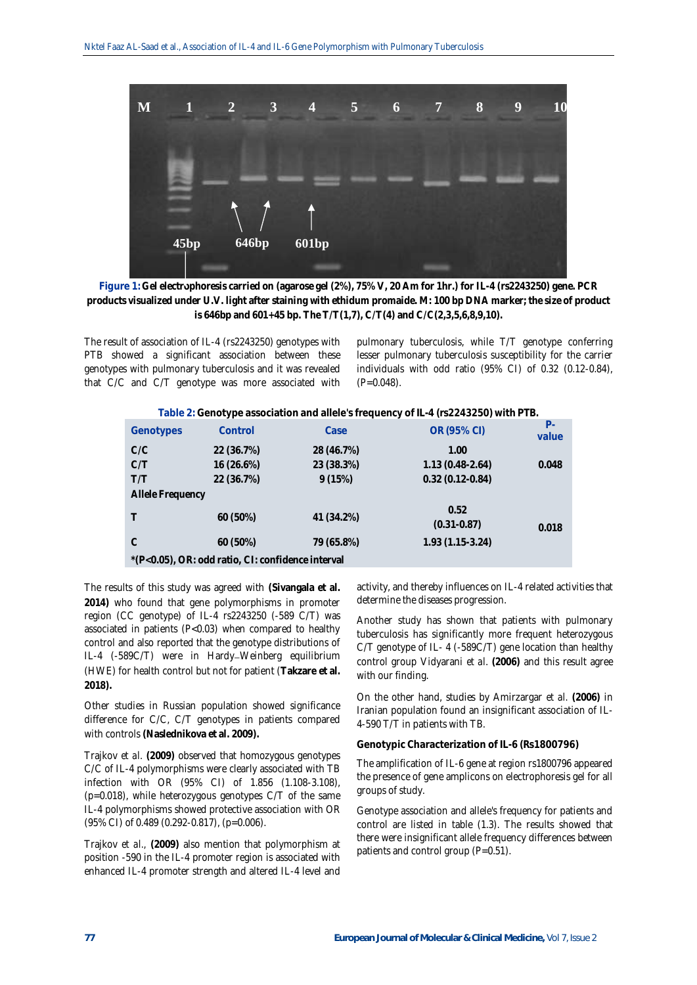

**Figure 1: Gel electrophoresis carried on (agarose gel (2%), 75% V, 20 Am for 1hr.) for IL-4 (rs2243250) gene. PCR products visualized under U.V. light after staining with ethidum promaide. M: 100 bp DNA marker; the size of product is 646bp and 601+45 bp. The T/T(1,7), C/T(4) and C/C(2,3,5,6,8,9,10).**

The result of association of IL-4 (rs2243250) genotypes with PTB showed a significant association between these genotypes with pulmonary tuberculosis and it was revealed that C/C and C/T genotype was more associated with pulmonary tuberculosis, while T/T genotype conferring lesser pulmonary tuberculosis susceptibility for the carrier individuals with odd ratio (95% CI) of 0.32 (0.12-0.84),  $(P=0.048)$ .

| Table 2: Genotype association and allele's frequency of IL-4 (rs2243250) with PTB. |  |
|------------------------------------------------------------------------------------|--|
|------------------------------------------------------------------------------------|--|

| Genotypes                                         | $\overline{\phantom{a}}$<br>Control | Case       | $\epsilon$<br>OR (95% CI) | $P -$<br>value |  |  |  |  |  |
|---------------------------------------------------|-------------------------------------|------------|---------------------------|----------------|--|--|--|--|--|
| C/C                                               | 22 (36.7%)                          | 28 (46.7%) | 1.00                      |                |  |  |  |  |  |
| C/T                                               | 16 (26.6%)                          | 23 (38.3%) | $1.13(0.48-2.64)$         | 0.048          |  |  |  |  |  |
| T/T                                               | 22 (36.7%)                          | 9(15%)     | $0.32(0.12-0.84)$         |                |  |  |  |  |  |
|                                                   | Allele Frequency                    |            |                           |                |  |  |  |  |  |
|                                                   | 60 (50%)                            | 41 (34.2%) | 0.52<br>$(0.31 - 0.87)$   | 0.018          |  |  |  |  |  |
| C                                                 | 60 (50%)                            | 79 (65.8%) | $1.93(1.15-3.24)$         |                |  |  |  |  |  |
| *(P<0.05), OR: odd ratio, CI: confidence interval |                                     |            |                           |                |  |  |  |  |  |

The results of this study was agreed with **(Sivangala et al. 2014)** who found that gene polymorphisms in promoter region (CC genotype) of IL-4 rs2243250 (-589 C/T) was associated in patients (P<0.03) when compared to healthy control and also reported that the genotype distributions of IL-4 (-589C/T) were in Hardy-Weinberg equilibrium (HWE) for health control but not for patient (**Takzare et al. 2018).**

Other studies in Russian population showed significance difference for C/C, C/T genotypes in patients compared with controls **(Naslednikova et al. 2009).**

Trajkov *et al.* **(2009)** observed that homozygous genotypes C/C of IL-4 polymorphisms were clearly associated with TB infection with OR (95% CI) of 1.856 (1.108-3.108), (p=0.018), while heterozygous genotypes C/T of the same IL-4 polymorphisms showed protective association with OR (95% CI) of 0.489 (0.292-0.817), (p=0.006).

Trajkov *et al.,* **(2009)** also mention that polymorphism at position -590 in the IL-4 promoter region is associated with enhanced IL-4 promoter strength and altered IL-4 level and activity, and thereby influences on IL-4 related activities that determine the diseases progression.

Another study has shown that patients with pulmonary tuberculosis has significantly more frequent heterozygous C/T genotype of IL- 4 (-589C/T) gene location than healthy control group Vidyarani *et al*. **(2006)** and this result agree with our finding.

On the other hand, studies by Amirzargar *et al.* **(2006)** in Iranian population found an insignificant association of IL-4-590 T/T in patients with TB.

**Genotypic Characterization of IL-6 (Rs1800796)** 

The amplification of IL-6 gene at region rs1800796 appeared the presence of gene amplicons on electrophoresis gel for all groups of study.

Genotype association and allele's frequency for patients and control are listed in table (1.3). The results showed that there were insignificant allele frequency differences between patients and control group (P=0.51).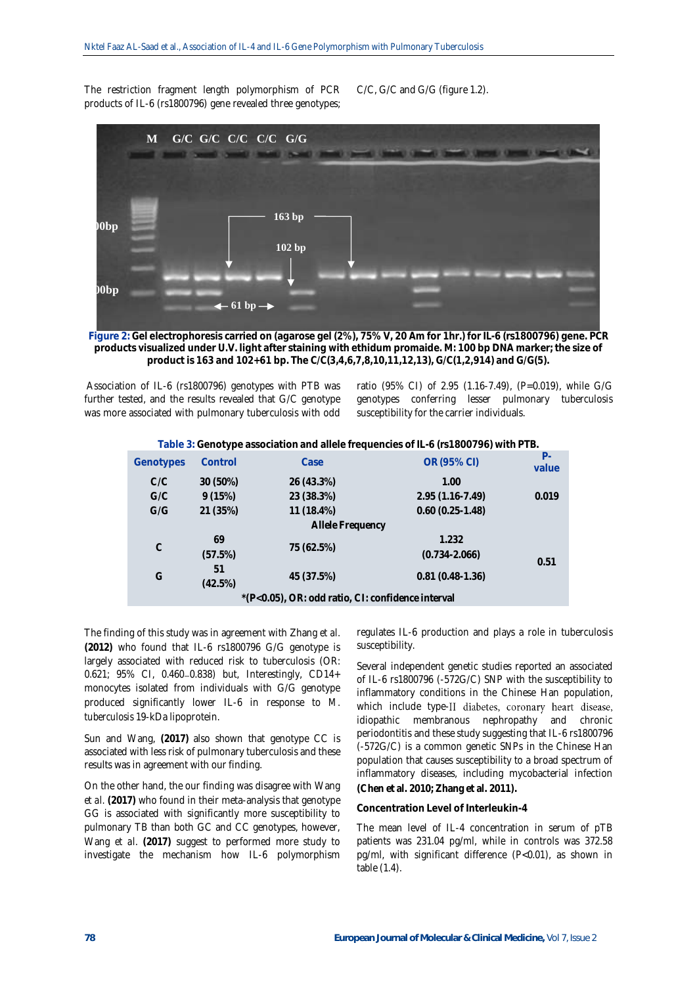The restriction fragment length polymorphism of PCR products of IL-6 (rs1800796) gene revealed three genotypes; C/C, G/C and G/G (figure 1.2).



**Figure 2: Gel electrophoresis carried on (agarose gel (2%), 75% V, 20 Am for 1hr.) for IL-6 (rs1800796) gene. PCR products visualized under U.V. light after staining with ethidum promaide. M: 100 bp DNA marker; the size of product is 163 and 102+61 bp. The C/C(3,4,6,7,8,10,11,12,13), G/C(1,2,914) and G/G(5).** 

Association of IL-6 (rs1800796) genotypes with PTB was further tested, and the results revealed that G/C genotype was more associated with pulmonary tuberculosis with odd ratio (95% CI) of 2.95 (1.16-7.49), (P=0.019), while G/G genotypes conferring lesser pulmonary tuberculosis susceptibility for the carrier individuals.

|  |  |  |  | Table 3: Genotype association and allele frequencies of IL-6 (rs1800796) with PTB. |
|--|--|--|--|------------------------------------------------------------------------------------|
|--|--|--|--|------------------------------------------------------------------------------------|

| Genotypes                                         | Control       | Case             | OR (95% CI)                | $P -$<br>value |  |  |  |
|---------------------------------------------------|---------------|------------------|----------------------------|----------------|--|--|--|
| C/C                                               | 30 (50%)      | 26 (43.3%)       | 1.00                       |                |  |  |  |
| G/C                                               | 9(15%)        | 23 (38.3%)       | $2.95(1.16 - 7.49)$        | 0.019          |  |  |  |
| G/G                                               | 21 (35%)      | 11 (18.4%)       | $0.60(0.25-1.48)$          |                |  |  |  |
|                                                   |               | Allele Frequency |                            |                |  |  |  |
| $\mathcal{C}$                                     | 69<br>(57.5%) | 75 (62.5%)       | 1.232<br>$(0.734 - 2.066)$ | 0.51           |  |  |  |
| G                                                 | 51<br>(42.5%) | 45 (37.5%)       | $0.81(0.48-1.36)$          |                |  |  |  |
| *(P<0.05), OR: odd ratio, CI: confidence interval |               |                  |                            |                |  |  |  |
|                                                   |               |                  |                            |                |  |  |  |

The finding of this study was in agreement with Zhang *et al.* **(2012)** who found that IL-6 rs1800796 G/G genotype is largely associated with reduced risk to tuberculosis (OR: 0.621; 95% CI, 0.460-0.838) but, Interestingly, CD14+ monocytes isolated from individuals with G/G genotype produced significantly lower IL-6 in response to *M. tuberculosis* 19-kDa lipoprotein.

Sun and Wang, **(2017)** also shown that genotype CC is associated with less risk of pulmonary tuberculosis and these results was in agreement with our finding.

On the other hand, the our finding was disagree with Wang *et al.* **(2017)** who found in their meta-analysis that genotype GG is associated with significantly more susceptibility to pulmonary TB than both GC and CC genotypes, however, Wang *et al*. **(2017)** suggest to performed more study to investigate the mechanism how IL-6 polymorphism

regulates IL-6 production and plays a role in tuberculosis susceptibility.

Several independent genetic studies reported an associated of IL-6 rs1800796 (-572G/C) SNP with the susceptibility to inflammatory conditions in the Chinese Han population, which include type-II diabetes, coronary heart disease, idiopathic membranous nephropathy and chronic periodontitis and these study suggesting that IL-6 rs1800796 (-572G/C) is a common genetic SNPs in the Chinese Han population that causes susceptibility to a broad spectrum of inflammatory diseases, including mycobacterial infection **(Chen et al. 2010; Zhang et al. 2011).**

#### **Concentration Level of Interleukin-4**

The mean level of IL-4 concentration in serum of pTB patients was 231.04 pg/ml, while in controls was 372.58 pg/ml, with significant difference (P<0.01), as shown in table (1.4).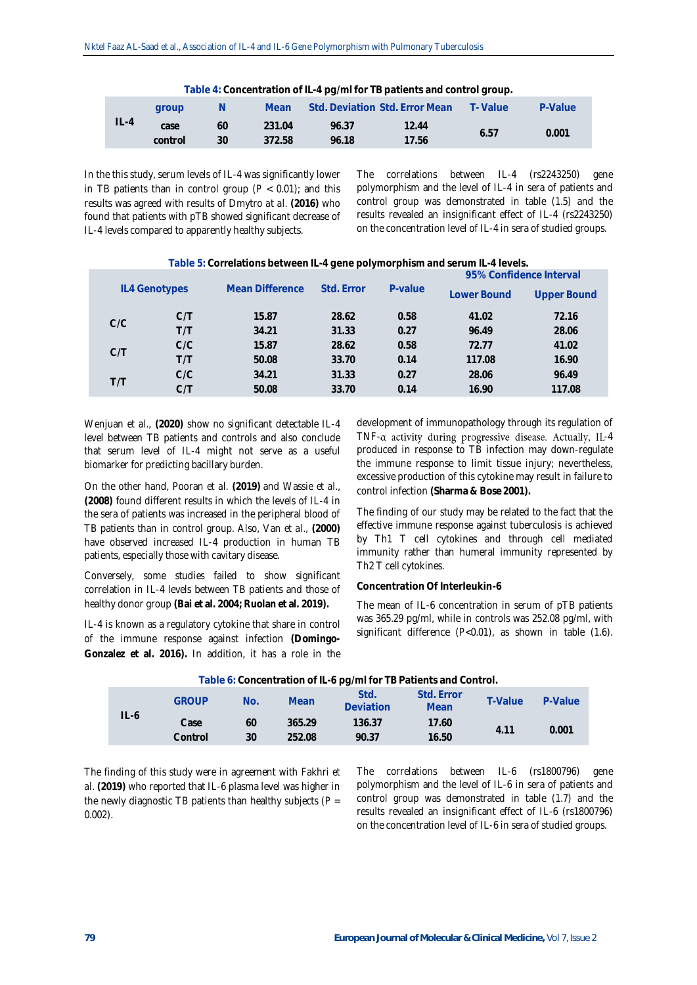|         | Table 4: Concentration of IL-4 pg/ml for TB patients and control group. |              |        |       |                                |           |         |  |  |  |
|---------|-------------------------------------------------------------------------|--------------|--------|-------|--------------------------------|-----------|---------|--|--|--|
|         | aroup                                                                   | <sup>N</sup> | Mean.  |       | Std. Deviation Std. Error Mean | - T-Value | P-Value |  |  |  |
| $ L-4 $ | case                                                                    | 60           | 231.04 | 96.37 | 12.44                          | 6.57      | 0.001   |  |  |  |
|         | control                                                                 | 30           | 372.58 | 96.18 | 17.56                          |           |         |  |  |  |

In the this study, serum levels of IL-4 was significantly lower in TB patients than in control group  $(P < 0.01)$ ; and this results was agreed with results of Dmytro *at al.* **(2016)** who found that patients with pTB showed significant decrease of IL-4 levels compared to apparently healthy subjects.

The correlations between IL-4 (rs2243250) gene polymorphism and the level of IL-4 in sera of patients and control group was demonstrated in table (1.5) and the results revealed an insignificant effect of IL-4 (rs2243250) on the concentration level of IL-4 in sera of studied groups.

| Table 5: Correlations between IL-4 gene polymorphism and serum IL-4 levels. |               |                 |            |         |             |             |  |  |
|-----------------------------------------------------------------------------|---------------|-----------------|------------|---------|-------------|-------------|--|--|
| 95% Confidence Interval                                                     |               |                 |            |         |             |             |  |  |
|                                                                             | IL4 Genotypes | Mean Difference | Std. Frror | P-value | Lower Bound | Upper Bound |  |  |
| C/C                                                                         | C/T           | 15.87           | 28.62      | 0.58    | 41.02       | 72.16       |  |  |
|                                                                             | T/T           | 34.21           | 31.33      | 0.27    | 96.49       | 28.06       |  |  |
| C/T                                                                         | C/C           | 15.87           | 28.62      | 0.58    | 72.77       | 41.02       |  |  |
|                                                                             | T/T           | 50.08           | 33.70      | 0.14    | 117.08      | 16.90       |  |  |
| T/T                                                                         | C/C           | 34.21           | 31.33      | 0.27    | 28.06       | 96.49       |  |  |
|                                                                             | C./T          | 50.08           | 33.70      | 0.14    | 16.90       | 117.08      |  |  |

Wenjuan *et al.,* **(2020)** show no significant detectable IL-4 level between TB patients and controls and also conclude that serum level of IL-4 might not serve as a useful biomarker for predicting bacillary burden.

On the other hand, Pooran *et al.* **(2019)** and Wassie *et al.,* **(2008)** found different results in which the levels of IL-4 in the sera of patients was increased in the peripheral blood of TB patients than in control group. Also, Van *et al.,* **(2000)** have observed increased IL-4 production in human TB patients, especially those with cavitary disease.

Conversely, some studies failed to show significant correlation in IL-4 levels between TB patients and those of healthy donor group **(Bai et al. 2004; Ruolan et al. 2019).**

IL-4 is known as a regulatory cytokine that share in control of the immune response against infection **(Domingo-Gonzalez et al. 2016).** In addition, it has a role in the

development of immunopathology through its regulation of  $TNF-\alpha$  activity during progressive disease. Actually, IL-4 produced in response to TB infection may down-regulate the immune response to limit tissue injury; nevertheless, excessive production of this cytokine may result in failure to control infection **(Sharma & Bose 2001).**

The finding of our study may be related to the fact that the effective immune response against tuberculosis is achieved by Th1 T cell cytokines and through cell mediated immunity rather than humeral immunity represented by Th2 T cell cytokines.

## **Concentration Of Interleukin-6**

The mean of IL-6 concentration in serum of pTB patients was 365.29 pg/ml, while in controls was 252.08 pg/ml, with significant difference (P<0.01), as shown in table (1.6).

|        | rapic of concentration or it o pyrimitor for attents and control. |          |                  |                   |                    |         |         |  |  |
|--------|-------------------------------------------------------------------|----------|------------------|-------------------|--------------------|---------|---------|--|--|
|        | <b>GROUP</b>                                                      | No.      | Mean             | Std.<br>Deviation | Std. Error<br>Mean | T-Value | P-Value |  |  |
| $IL-6$ | Case<br>Control                                                   | 60<br>30 | 365.29<br>252.08 | 136.37<br>90.37   | 17.60<br>16.50     | 4.11    | 0.001   |  |  |
|        |                                                                   |          |                  |                   |                    |         |         |  |  |

**Table 6: Concentration of IL-6 pg/ml for TB Patients and Control.**

The finding of this study were in agreement with Fakhri *et al*. **(2019)** who reported that IL-6 plasma level was higher in the newly diagnostic TB patients than healthy subjects (*P* = 0.002).

The correlations between IL-6 (rs1800796) gene polymorphism and the level of IL-6 in sera of patients and control group was demonstrated in table (1.7) and the results revealed an insignificant effect of IL-6 (rs1800796) on the concentration level of IL-6 in sera of studied groups.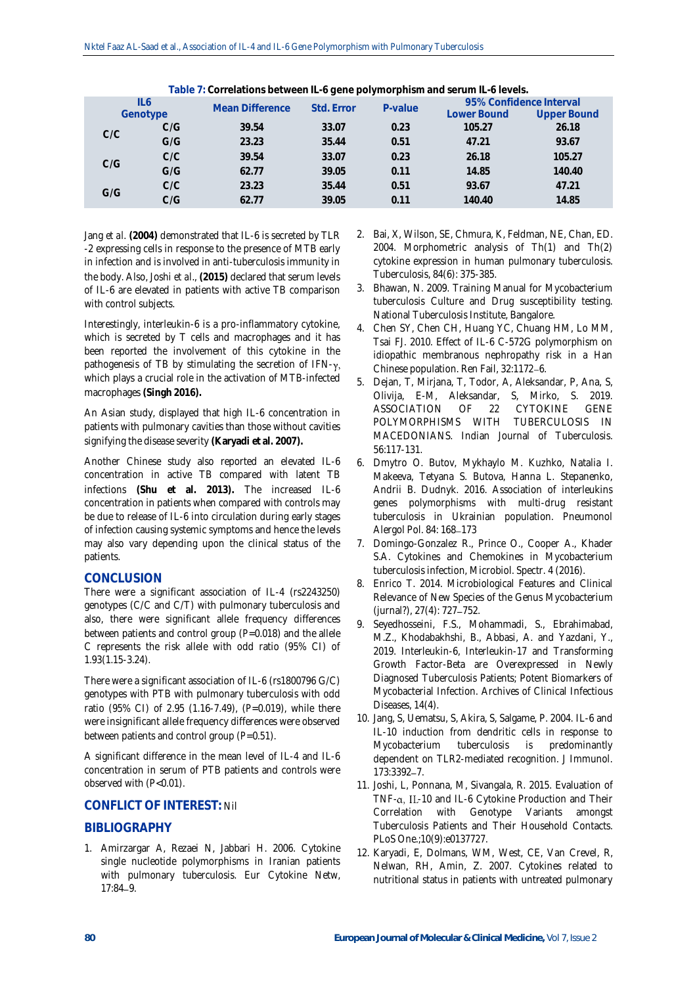| Table 7: Correlations between IL-6 gene polymorphism and serum IL-6 levels. |     |                 |            |         |                         |                    |  |  |
|-----------------------------------------------------------------------------|-----|-----------------|------------|---------|-------------------------|--------------------|--|--|
| IL6<br>Genotype                                                             |     | Mean Difference | Std. Error | P-value | 95% Confidence Interval |                    |  |  |
|                                                                             |     |                 |            |         | Lower Bound             | <b>Upper Bound</b> |  |  |
| C/C                                                                         | C/G | 39.54           | 33.07      | 0.23    | 105.27                  | 26.18              |  |  |
|                                                                             | G/G | 23.23           | 35.44      | 0.51    | 47.21                   | 93.67              |  |  |
| C/G                                                                         | C/C | 39.54           | 33.07      | 0.23    | 26.18                   | 105.27             |  |  |
|                                                                             | G/G | 62.77           | 39.05      | 0.11    | 14.85                   | 140.40             |  |  |
| G/G                                                                         | C/C | 23.23           | 35.44      | 0.51    | 93.67                   | 47.21              |  |  |
|                                                                             | C/G | 62.77           | 39.05      | 0.11    | 140.40                  | 14.85              |  |  |

**Table 7: Correlations between IL-6 gene polymorphism and serum IL-6 levels.**

Jang *et al.* **(2004)** demonstrated that IL-6 is secreted by TLR -2 expressing cells in response to the presence of MTB early in infection and is involved in anti-tuberculosis immunity in the body. Also, Joshi *et al*., **(2015)** declared that serum levels of IL-6 are elevated in patients with active TB comparison with control subjects.

Interestingly, interleukin-6 is a pro-inflammatory cytokine, which is secreted by T cells and macrophages and it has been reported the involvement of this cytokine in the pathogenesis of TB by stimulating the secretion of  $IFN-y$ , which plays a crucial role in the activation of MTB-infected macrophages **(Singh 2016).**

An Asian study, displayed that high IL-6 concentration in patients with pulmonary cavities than those without cavities signifying the disease severity **(Karyadi et al. 2007).**

Another Chinese study also reported an elevated IL-6 concentration in active TB compared with latent TB infections **(Shu et al. 2013).** The increased IL-6 concentration in patients when compared with controls may be due to release of IL-6 into circulation during early stages of infection causing systemic symptoms and hence the levels may also vary depending upon the clinical status of the patients.

# **CONCLUSION**

There were a significant association of IL-4 (rs2243250) genotypes (C/C and C/T) with pulmonary tuberculosis and also, there were significant allele frequency differences between patients and control group (*P*=0.018) and the allele C represents the risk allele with odd ratio (95% CI) of 1.93(1.15-3.24).

There were a significant association of IL-6 (rs1800796 G/C) genotypes with PTB with pulmonary tuberculosis with odd ratio (95% CI) of 2.95 (1.16-7.49), (*P*=0.019), while there were insignificant allele frequency differences were observed between patients and control group (*P*=0.51).

A significant difference in the mean level of IL-4 and IL-6 concentration in serum of PTB patients and controls were observed with (P<0.01).

# **CONFLICT OF INTEREST:** Nil

# **BIBLIOGRAPHY**

1. Amirzargar A, Rezaei N, Jabbari H. 2006. Cytokine single nucleotide polymorphisms in Iranian patients with pulmonary tuberculosis. Eur Cytokine Netw, 17:84-9.

- 2. Bai, X, Wilson, SE, Chmura, K, Feldman, NE, Chan, ED. 2004. Morphometric analysis of Th(1) and Th(2) cytokine expression in human pulmonary tuberculosis. Tuberculosis, 84(6): 375-385.
- 3. Bhawan, N. 2009. Training Manual for Mycobacterium tuberculosis Culture and Drug susceptibility testing. National Tuberculosis Institute, Bangalore.
- 4. Chen SY, Chen CH, Huang YC, Chuang HM, Lo MM, Tsai FJ. 2010. Effect of IL-6 C-572G polymorphism on idiopathic membranous nephropathy risk in a Han Chinese population. Ren Fail, 32:1172-6.
- 5. Dejan, T, Mirjana, T, Todor, A, Aleksandar, P, Ana, S, Olivija, E-M, Aleksandar, S, Mirko, S. 2019. ASSOCIATION OF 22 CYTOKINE GENE POLYMORPHISMS WITH TUBERCULOSIS IN MACEDONIANS. Indian Journal of Tuberculosis. 56:117-131.
- 6. Dmytro O. Butov, Mykhaylo M. Kuzhko, Natalia I. Makeeva, Tetyana S. Butova, Hanna L. Stepanenko, Andrii B. Dudnyk. 2016. Association of interleukins genes polymorphisms with multi-drug resistant tuberculosis in Ukrainian population. Pneumonol Alergol Pol. 84: 168-173
- 7. Domingo-Gonzalez R., Prince O., Cooper A., Khader S.A. Cytokines and Chemokines in Mycobacterium tuberculosis infection, Microbiol. Spectr. 4 (2016).
- 8. Enrico T. 2014. Microbiological Features and Clinical Relevance of New Species of the Genus Mycobacterium (jurnal?), 27(4): 727-752.
- 9. Seyedhosseini, F.S., Mohammadi, S., Ebrahimabad, M.Z., Khodabakhshi, B., Abbasi, A. and Yazdani, Y., 2019. Interleukin-6, Interleukin-17 and Transforming Growth Factor-Beta are Overexpressed in Newly Diagnosed Tuberculosis Patients; Potent Biomarkers of Mycobacterial Infection. Archives of Clinical Infectious Diseases, 14(4).
- 10. Jang, S, Uematsu, S, Akira, S, Salgame, P. 2004. IL-6 and IL-10 induction from dendritic cells in response to Mycobacterium tuberculosis is predominantly dependent on TLR2-mediated recognition. J Immunol. 173:3392-7.
- 11. Joshi, L, Ponnana, M, Sivangala, R. 2015. Evaluation of TNF- $\alpha$ , IL-10 and IL-6 Cytokine Production and Their Correlation with Genotype Variants amongst Tuberculosis Patients and Their Household Contacts. PLoS One.;10(9):e0137727.
- 12. Karyadi, E, Dolmans, WM, West, CE, Van Crevel, R, Nelwan, RH, Amin, Z. 2007. Cytokines related to nutritional status in patients with untreated pulmonary